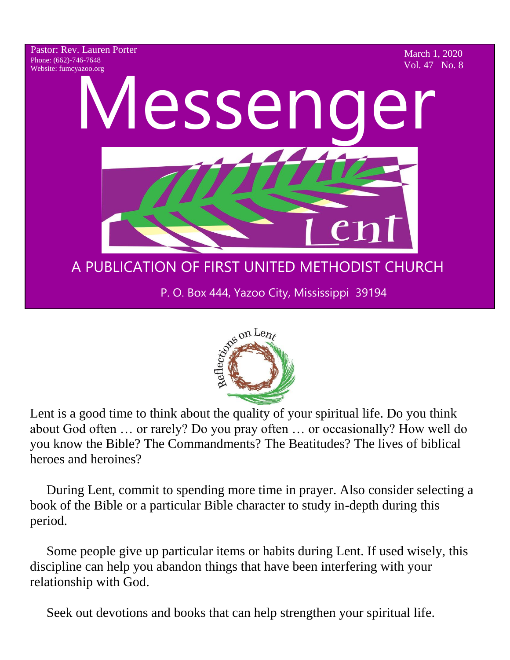



Lent is a good time to think about the quality of your spiritual life. Do you think about God often … or rarely? Do you pray often … or occasionally? How well do you know the Bible? The Commandments? The Beatitudes? The lives of biblical heroes and heroines?

 During Lent, commit to spending more time in prayer. Also consider selecting a book of the Bible or a particular Bible character to study in-depth during this period.

 Some people give up particular items or habits during Lent. If used wisely, this discipline can help you abandon things that have been interfering with your relationship with God.

Seek out devotions and books that can help strengthen your spiritual life.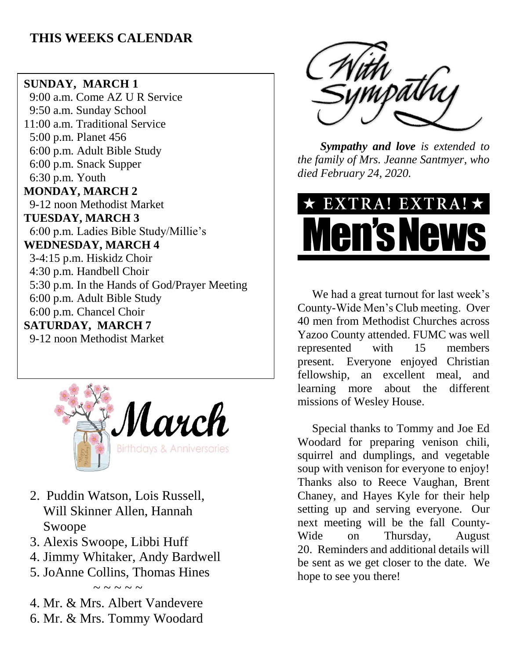### **THIS WEEKS CALENDAR**

### **SUNDAY, MARCH 1**

 9:00 a.m. Come AZ U R Service 9:50 a.m. Sunday School 11:00 a.m. Traditional Service 5:00 p.m. Planet 456 6:00 p.m. Adult Bible Study 6:00 p.m. Snack Supper 6:30 p.m. Youth **MONDAY, MARCH 2** 9-12 noon Methodist Market **TUESDAY, MARCH 3** 6:00 p.m. Ladies Bible Study/Millie's **WEDNESDAY, MARCH 4** 3-4:15 p.m. Hiskidz Choir 4:30 p.m. Handbell Choir 5:30 p.m. In the Hands of God/Prayer Meeting 6:00 p.m. Adult Bible Study 6:00 p.m. Chancel Choir **SATURDAY, MARCH 7** 9-12 noon Methodist Market



- 2. Puddin Watson, Lois Russell, Will Skinner Allen, Hannah Swoope
- 3. Alexis Swoope, Libbi Huff
- 4. Jimmy Whitaker, Andy Bardwell
- 5. JoAnne Collins, Thomas Hines  $\sim$  ~ ~ ~ ~

4. Mr. & Mrs. Albert Vandevere 6. Mr. & Mrs. Tommy Woodard



*Sympathy and love is extended to the family of Mrs. Jeanne Santmyer, who died February 24, 2020.*

# EXTRA! EXTRA!  $\star$ **Men's New**

 We had a great turnout for last week's County-Wide Men's Club meeting. Over 40 men from Methodist Churches across Yazoo County attended. FUMC was well represented with 15 members present. Everyone enjoyed Christian fellowship, an excellent meal, and learning more about the different missions of Wesley House.

 Special thanks to Tommy and Joe Ed Woodard for preparing venison chili, squirrel and dumplings, and vegetable soup with venison for everyone to enjoy! Thanks also to Reece Vaughan, Brent Chaney, and Hayes Kyle for their help setting up and serving everyone. Our next meeting will be the fall County-Wide on Thursday, August 20. Reminders and additional details will be sent as we get closer to the date. We hope to see you there!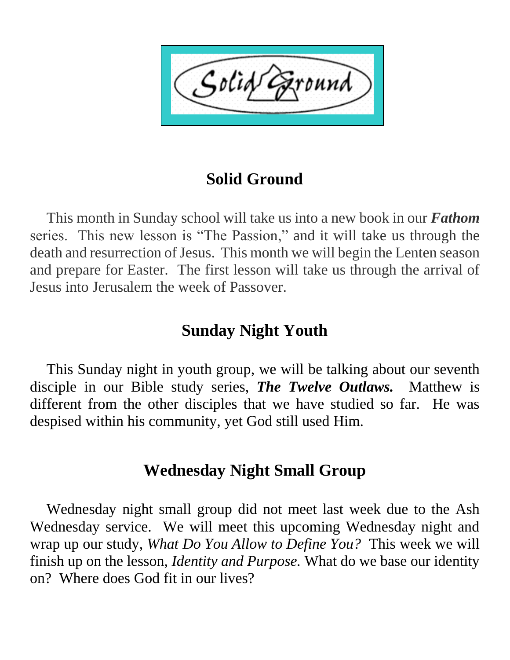## **Solid Ground**

 This month in Sunday school will take us into a new book in our *Fathom* series. This new lesson is "The Passion," and it will take us through the death and resurrection of Jesus. This month we will begin the Lenten season and prepare for Easter. The first lesson will take us through the arrival of Jesus into Jerusalem the week of Passover.

### **Sunday Night Youth**

 This Sunday night in youth group, we will be talking about our seventh disciple in our Bible study series, *The Twelve Outlaws.* Matthew is different from the other disciples that we have studied so far. He was despised within his community, yet God still used Him.

### **Wednesday Night Small Group**

 Wednesday night small group did not meet last week due to the Ash Wednesday service. We will meet this upcoming Wednesday night and wrap up our study, *What Do You Allow to Define You?* This week we will finish up on the lesson, *Identity and Purpose.* What do we base our identity on? Where does God fit in our lives?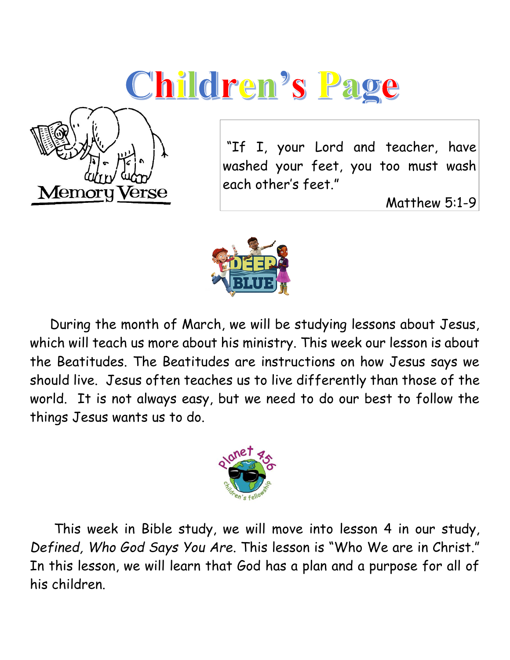# **Children's Page**



"If I, your Lord and teacher, have washed your feet, you too must wash each other's feet."

Matthew 5:1-9



 During the month of March, we will be studying lessons about Jesus, which will teach us more about his ministry. This week our lesson is about the Beatitudes. The Beatitudes are instructions on how Jesus says we should live. Jesus often teaches us to live differently than those of the world. It is not always easy, but we need to do our best to follow the things Jesus wants us to do.



 This week in Bible study, we will move into lesson 4 in our study, *Defined, Who God Says You Are*. This lesson is "Who We are in Christ." In this lesson, we will learn that God has a plan and a purpose for all of his children.